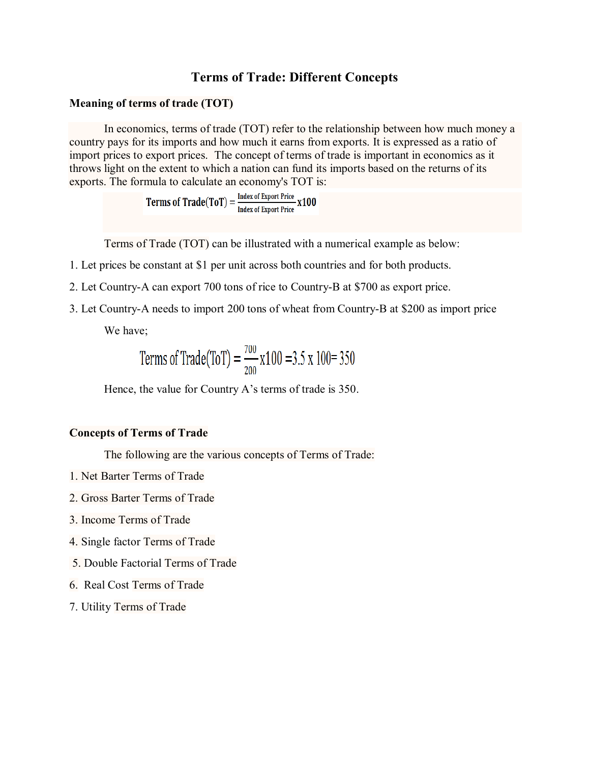## **Terms of Trade: Different Concepts**

## **Meaning of terms of trade (TOT)**

In economics, terms of trade (TOT) refer to the relationship between how much money a country pays for its imports and how much it earns from exports. It is expressed as a ratio of import prices to export prices. The concept of terms of trade is important in economics as it throws light on the extent to which a nation can fund its imports based on the returns of its exports. The formula to calculate an economy's TOT is:

Terms of  $\text{Trade(ToT)} = \frac{\text{Index of Expert Price}}{\text{Index of Expert Price}} \times 100$ 

Terms of Trade (TOT) can be illustrated with a numerical example as below:

- 1. Let prices be constant at \$1 per unit across both countries and for both products.
- 2. Let Country-A can export 700 tons of rice to Country-B at \$700 as export price.
- 3. Let Country-A needs to import 200 tons of wheat from Country-B at \$200 as import price

We have;

Terms of Trade(ToT) = 
$$
\frac{700}{200}
$$
 x100 = 3.5 x 100 = 350

Hence, the value for Country A's terms of trade is 350.

## **Concepts of Terms of Trade**

The following are the various concepts of Terms of Trade:

- 1. Net Barter Terms of Trade
- 2. Gross Barter Terms of Trade
- 3. Income Terms of Trade
- 4. Single factor Terms of Trade
- 5. Double Factorial Terms of Trade
- 6. Real Cost Terms of Trade
- 7. Utility Terms of Trade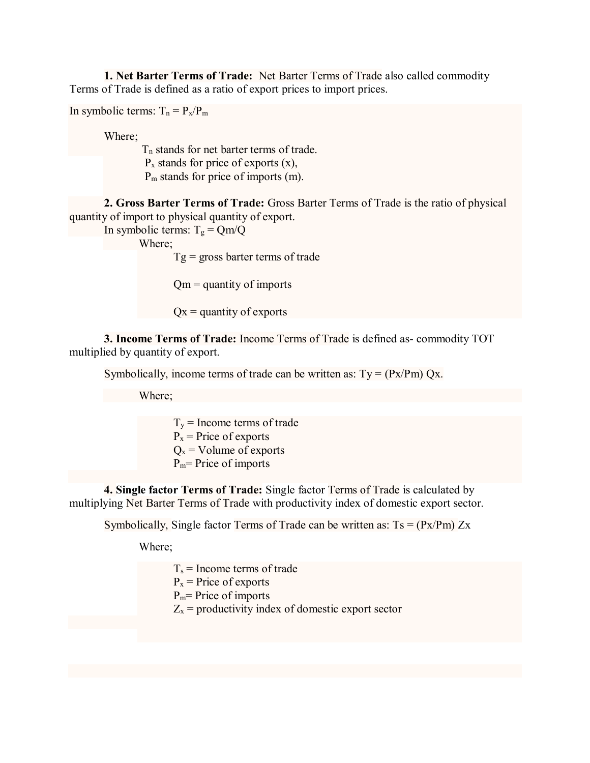**1. Net Barter Terms of Trade:** Net Barter Terms of Trade also called commodity Terms of Trade is defined as a ratio of export prices to import prices.

In symbolic terms:  $T_n = P_x/P_m$ 

Where;

 T<sup>n</sup> stands for net barter terms of trade.  $P_x$  stands for price of exports  $(x)$ , P<sup>m</sup> stands for price of imports (m).

**2. Gross Barter Terms of Trade:** Gross Barter Terms of Trade is the ratio of physical quantity of import to physical quantity of export.

In symbolic terms:  $T_g = Qm/Q$ 

Where;

 $Tg =$  gross barter terms of trade

 $Qm =$  quantity of imports

 $Qx =$  quantity of exports

**3. Income Terms of Trade:** Income Terms of Trade is defined as- commodity TOT multiplied by quantity of export.

Symbolically, income terms of trade can be written as:  $Ty = (Px/Pm) Qx$ .

Where;

 $T_y$  = Income terms of trade  $P_x$  = Price of exports  $Q_x$  = Volume of exports  $P_m$ = Price of imports

**4. Single factor Terms of Trade:** Single factor Terms of Trade is calculated by multiplying Net Barter Terms of Trade with productivity index of domestic export sector.

Symbolically, Single factor Terms of Trade can be written as:  $Ts = (Px/Pm) Zx$ 

Where;

 $T_s$  = Income terms of trade  $P_x$  = Price of exports  $P_m$ = Price of imports  $Z_x$  = productivity index of domestic export sector